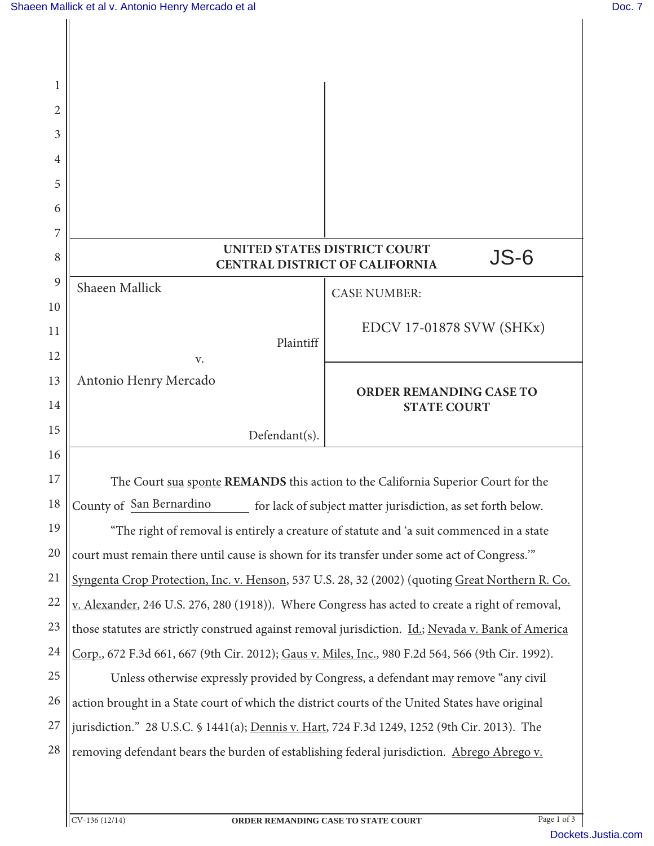| 1  |                                                                                                    |                                                                                      |
|----|----------------------------------------------------------------------------------------------------|--------------------------------------------------------------------------------------|
| 2  |                                                                                                    |                                                                                      |
| 3  |                                                                                                    |                                                                                      |
| 4  |                                                                                                    |                                                                                      |
| 5  |                                                                                                    |                                                                                      |
| 6  |                                                                                                    |                                                                                      |
| 7  |                                                                                                    |                                                                                      |
| 8  |                                                                                                    | <b>UNITED STATES DISTRICT COURT</b><br>JS-6<br><b>CENTRAL DISTRICT OF CALIFORNIA</b> |
| 9  | Shaeen Mallick                                                                                     | <b>CASE NUMBER:</b>                                                                  |
| 10 |                                                                                                    |                                                                                      |
| 11 | Plaintiff                                                                                          | <b>EDCV 17-01878 SVW (SHKx)</b>                                                      |
| 12 | V.                                                                                                 |                                                                                      |
| 13 | Antonio Henry Mercado                                                                              | <b>ORDER REMANDING CASE TO</b>                                                       |
| 14 |                                                                                                    | <b>STATE COURT</b>                                                                   |
| 15 | Defendant(s).                                                                                      |                                                                                      |
| 16 |                                                                                                    |                                                                                      |
| 17 | The Court sua sponte REMANDS this action to the California Superior Court for the                  |                                                                                      |
| 18 | County of San Bernardino<br>for lack of subject matter jurisdiction, as set forth below.           |                                                                                      |
| 19 | "The right of removal is entirely a creature of statute and 'a suit commenced in a state           |                                                                                      |
| 20 | court must remain there until cause is shown for its transfer under some act of Congress."         |                                                                                      |
| 21 | Syngenta Crop Protection, Inc. v. Henson, 537 U.S. 28, 32 (2002) (quoting Great Northern R. Co.    |                                                                                      |
| 22 | v. Alexander, 246 U.S. 276, 280 (1918)). Where Congress has acted to create a right of removal,    |                                                                                      |
| 23 | those statutes are strictly construed against removal jurisdiction. Id.; Nevada v. Bank of America |                                                                                      |
| 24 | Corp., 672 F.3d 661, 667 (9th Cir. 2012); Gaus v. Miles, Inc., 980 F.2d 564, 566 (9th Cir. 1992).  |                                                                                      |
| 25 |                                                                                                    | Unless otherwise expressly provided by Congress, a defendant may remove "any civil   |
| 26 | action brought in a State court of which the district courts of the United States have original    |                                                                                      |
| 27 | jurisdiction." 28 U.S.C. § 1441(a); Dennis v. Hart, 724 F.3d 1249, 1252 (9th Cir. 2013). The       |                                                                                      |
| 28 | removing defendant bears the burden of establishing federal jurisdiction. Abrego Abrego v.         |                                                                                      |
|    |                                                                                                    |                                                                                      |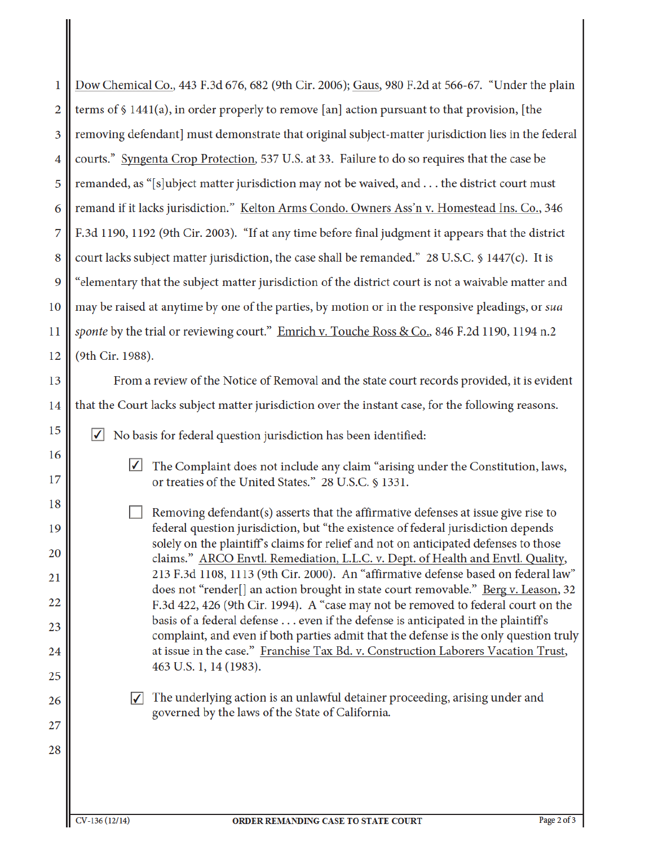| 1        | Dow Chemical Co., 443 F.3d 676, 682 (9th Cir. 2006); Gaus, 980 F.2d at 566-67. "Under the plain                                                                           |  |  |
|----------|---------------------------------------------------------------------------------------------------------------------------------------------------------------------------|--|--|
| 2        | terms of $\S$ 1441(a), in order properly to remove [an] action pursuant to that provision, [the                                                                           |  |  |
| 3        | removing defendant] must demonstrate that original subject-matter jurisdiction lies in the federal                                                                        |  |  |
| 4        | courts." Syngenta Crop Protection, 537 U.S. at 33. Failure to do so requires that the case be                                                                             |  |  |
| 5        | remanded, as "[s]ubject matter jurisdiction may not be waived, and the district court must                                                                                |  |  |
| 6        | remand if it lacks jurisdiction." Kelton Arms Condo. Owners Ass'n v. Homestead Ins. Co., 346                                                                              |  |  |
| 7        | F.3d 1190, 1192 (9th Cir. 2003). "If at any time before final judgment it appears that the district                                                                       |  |  |
| 8        | court lacks subject matter jurisdiction, the case shall be remanded." 28 U.S.C. § 1447(c). It is                                                                          |  |  |
| 9        | "elementary that the subject matter jurisdiction of the district court is not a waivable matter and                                                                       |  |  |
| 10       | may be raised at anytime by one of the parties, by motion or in the responsive pleadings, or sua                                                                          |  |  |
| 11       | sponte by the trial or reviewing court." Emrich v. Touche Ross & Co., 846 F.2d 1190, 1194 n.2                                                                             |  |  |
| 12       | (9th Cir. 1988).                                                                                                                                                          |  |  |
| 13       | From a review of the Notice of Removal and the state court records provided, it is evident                                                                                |  |  |
| 14       | that the Court lacks subject matter jurisdiction over the instant case, for the following reasons.                                                                        |  |  |
| 15       | No basis for federal question jurisdiction has been identified:<br>$ \mathcal{V} $                                                                                        |  |  |
| 16       | $\blacktriangledown$<br>The Complaint does not include any claim "arising under the Constitution, laws,                                                                   |  |  |
| 17       | or treaties of the United States." 28 U.S.C. § 1331.                                                                                                                      |  |  |
| 18       | Removing defendant(s) asserts that the affirmative defenses at issue give rise to                                                                                         |  |  |
| 19       | federal question jurisdiction, but "the existence of federal jurisdiction depends<br>solely on the plaintiff's claims for relief and not on anticipated defenses to those |  |  |
| 20       | claims." ARCO Envtl. Remediation, L.L.C. v. Dept. of Health and Envtl. Quality,<br>213 F.3d 1108, 1113 (9th Cir. 2000). An "affirmative defense based on federal law"     |  |  |
| 21       | does not "render <sup>[]</sup> an action brought in state court removable." <u>Berg v. Leason</u> , 32                                                                    |  |  |
| 22       | F.3d 422, 426 (9th Cir. 1994). A "case may not be removed to federal court on the<br>basis of a federal defense even if the defense is anticipated in the plaintiff's     |  |  |
| 23       | complaint, and even if both parties admit that the defense is the only question truly                                                                                     |  |  |
| 24<br>25 | at issue in the case." Franchise Tax Bd. v. Construction Laborers Vacation Trust,<br>463 U.S. 1, 14 (1983).                                                               |  |  |
| 26       | The underlying action is an unlawful detainer proceeding, arising under and<br>M                                                                                          |  |  |
| 27       | governed by the laws of the State of California.                                                                                                                          |  |  |
| 28       |                                                                                                                                                                           |  |  |
|          |                                                                                                                                                                           |  |  |
|          |                                                                                                                                                                           |  |  |